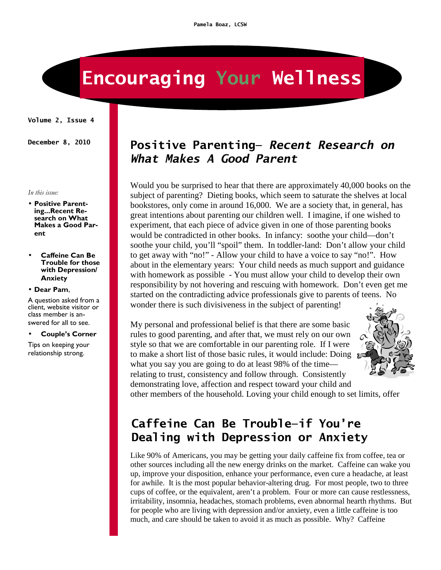# **Encouraging Your Wellness**

**Volume 2, Issue 4** 

*In this issue:* 

- **Positive Parenting...Recent Research on What Makes a Good Parent**
- **Caffeine Can Be Trouble for those with Depression/ Anxiety**
- **Dear Pam**,

A question asked from a client, website visitor or class member is answered for all to see.

#### • **Couple's Corner**

Tips on keeping your relationship strong.

#### **December 8, 2010 Positive Parenting—** *Recent Research on What Makes A Good Parent*

Would you be surprised to hear that there are approximately 40,000 books on the subject of parenting? Dieting books, which seem to saturate the shelves at local bookstores, only come in around 16,000. We are a society that, in general, has great intentions about parenting our children well. I imagine, if one wished to experiment, that each piece of advice given in one of those parenting books would be contradicted in other books. In infancy: soothe your child—don't soothe your child, you'll "spoil" them. In toddler-land: Don't allow your child to get away with "no!" - Allow your child to have a voice to say "no!". How about in the elementary years: Your child needs as much support and guidance with homework as possible - You must allow your child to develop their own responsibility by not hovering and rescuing with homework. Don't even get me started on the contradicting advice professionals give to parents of teens. No wonder there is such divisiveness in the subject of parenting!

My personal and professional belief is that there are some basic rules to good parenting, and after that, we must rely on our own style so that we are comfortable in our parenting role. If I were to make a short list of those basic rules, it would include: Doing what you say you are going to do at least 98% of the time relating to trust, consistency and follow through. Consistently demonstrating love, affection and respect toward your child and



other members of the household. Loving your child enough to set limits, offer

## **Caffeine Can Be Trouble—if You're Dealing with Depression or Anxiety**

Like 90% of Americans, you may be getting your daily caffeine fix from coffee, tea or other sources including all the new energy drinks on the market. Caffeine can wake you up, improve your disposition, enhance your performance, even cure a headache, at least for awhile. It is the most popular behavior-altering drug. For most people, two to three cups of coffee, or the equivalent, aren't a problem. Four or more can cause restlessness, irritability, insomnia, headaches, stomach problems, even abnormal hearth rhythms. But for people who are living with depression and/or anxiety, even a little caffeine is too much, and care should be taken to avoid it as much as possible. Why? Caffeine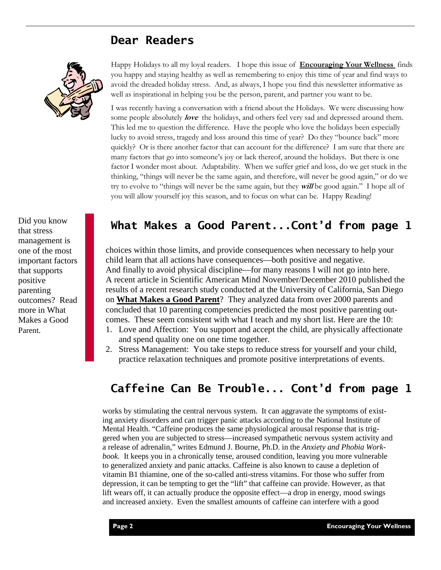### **Dear Readers**



Did you know that stress management is one of the most important factors that supports positive parenting outcomes? Read more in What Makes a Good Parent*.* 

Happy Holidays to all my loyal readers. I hope this issue of **Encouraging Your Wellness** finds you happy and staying healthy as well as remembering to enjoy this time of year and find ways to avoid the dreaded holiday stress. And, as always, I hope you find this newsletter informative as well as inspirational in helping you be the person, parent, and partner you want to be.

I was recently having a conversation with a friend about the Holidays. We were discussing how some people absolutely **love** the holidays, and others feel very sad and depressed around them. This led me to question the difference. Have the people who love the holidays been especially lucky to avoid stress, tragedy and loss around this time of year? Do they "bounce back" more quickly? Or is there another factor that can account for the difference? I am sure that there are many factors that go into someone's joy or lack thereof, around the holidays. But there is one factor I wonder most about. Adaptability. When we suffer grief and loss, do we get stuck in the thinking, "things will never be the same again, and therefore, will never be good again," or do we try to evolve to "things will never be the same again, but they **will** be good again." I hope all of you will allow yourself joy this season, and to focus on what can be. Happy Reading!

#### **What Makes a Good Parent...Cont'd from page 1**

choices within those limits, and provide consequences when necessary to help your child learn that all actions have consequences—both positive and negative. And finally to avoid physical discipline—for many reasons I will not go into here. A recent article in Scientific American Mind November/December 2010 published the results of a recent research study conducted at the University of California, San Diego on **What Makes a Good Parent**? They analyzed data from over 2000 parents and concluded that 10 parenting competencies predicted the most positive parenting outcomes. These seem consistent with what I teach and my short list. Here are the 10:

- 1. Love and Affection: You support and accept the child, are physically affectionate and spend quality one on one time together.
- 2. Stress Management: You take steps to reduce stress for yourself and your child, practice relaxation techniques and promote positive interpretations of events.

### **Caffeine Can Be Trouble... Cont'd from page 1**

works by stimulating the central nervous system. It can aggravate the symptoms of existing anxiety disorders and can trigger panic attacks according to the National Institute of Mental Health. "Caffeine produces the same physiological arousal response that is triggered when you are subjected to stress—increased sympathetic nervous system activity and a release of adrenalin," writes Edmund J. Bourne, Ph.D. in the *Anxiety and Phobia Workbook.* It keeps you in a chronically tense, aroused condition, leaving you more vulnerable to generalized anxiety and panic attacks. Caffeine is also known to cause a depletion of vitamin B1 thiamine, one of the so-called anti-stress vitamins. For those who suffer from depression, it can be tempting to get the "lift" that caffeine can provide. However, as that lift wears off, it can actually produce the opposite effect—a drop in energy, mood swings and increased anxiety. Even the smallest amounts of caffeine can interfere with a good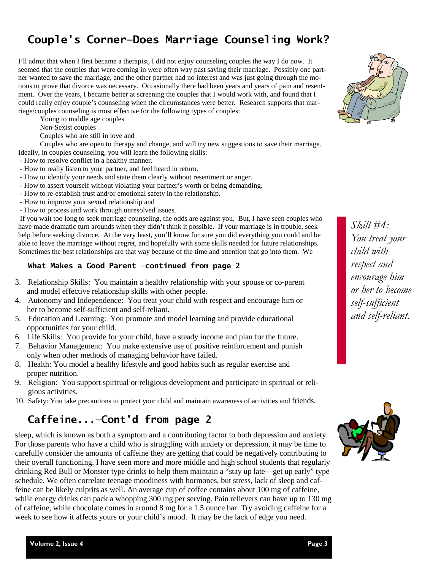## **Couple's Corner—Does Marriage Counseling Work?**

I'll admit that when I first became a therapist, I did not enjoy counseling couples the way I do now. It seemed that the couples that were coming in were often way past saving their marriage. Possibly one partner wanted to save the marriage, and the other partner had no interest and was just going through the motions to prove that divorce was necessary. Occasionally there had been years and years of pain and resentment. Over the years, I became better at screening the couples that I would work with, and found that I could really enjoy couple's counseling when the circumstances were better. Research supports that marriage/couples counseling is most effective for the following types of couples:

Young to middle age couples

Non-Sexist couples

Couples who are still in love and

 Couples who are open to therapy and change, and will try new suggestions to save their marriage. Ideally, in couples counseling, you will learn the following skills:

- How to resolve conflict in a healthy manner.

- How to really listen to your partner, and feel heard in return.
- How to identify your needs and state them clearly without resentment or anger.
- How to assert yourself without violating your partner's worth or being demanding.
- How to re-establish trust and/or emotional safety in the relationship.
- How to improve your sexual relationship and
- How to process and work through unresolved issues.

 If you wait too long to seek marriage counseling, the odds are against you. But, I have seen couples who have made dramatic turn arounds when they didn't think it possible. If your marriage is in trouble, seek help before seeking divorce. At the very least, you'll know for sure you did everything you could and be able to leave the marriage without regret, and hopefully with some skills needed for future relationships. Sometimes the best relationships are that way because of the time and attention that go into them. We

#### **What Makes a Good Parent —continued from page 2**

- 3. Relationship Skills: You maintain a healthy relationship with your spouse or co-parent and model effective relationship skills with other people.
- 4. Autonomy and Independence: You treat your child with respect and encourage him or her to become self-sufficient and self-reliant.
- 5. Education and Learning: You promote and model learning and provide educational opportunities for your child.
- 6. Life Skills: You provide for your child, have a steady income and plan for the future.
- 7. Behavior Management: You make extensive use of positive reinforcement and punish only when other methods of managing behavior have failed.
- 8. Health: You model a healthy lifestyle and good habits such as regular exercise and proper nutrition.
- 9. Religion: You support spiritual or religious development and participate in spiritual or religious activities.
- 10. Safety: You take precautions to protect your child and maintain awareness of activities and friends.

#### **Caffeine...—Cont'd from page 2**

sleep, which is known as both a symptom and a contributing factor to both depression and anxiety. For those parents who have a child who is struggling with anxiety or depression, it may be time to carefully consider the amounts of caffeine they are getting that could be negatively contributing to their overall functioning. I have seen more and more middle and high school students that regularly drinking Red Bull or Monster type drinks to help them maintain a "stay up late—get up early" type schedule. We often correlate teenage moodiness with hormones, but stress, lack of sleep and caffeine can be likely culprits as well. An average cup of coffee contains about 100 mg of caffeine, while energy drinks can pack a whopping 300 mg per serving. Pain relievers can have up to 130 mg of caffeine, while chocolate comes in around 8 mg for a 1.5 ounce bar. Try avoiding caffeine for a week to see how it affects yours or your child's mood. It may be the lack of edge you need.



*Skill #4: You treat your child with respect and encourage him or her to become self-sufficient and self-reliant.*